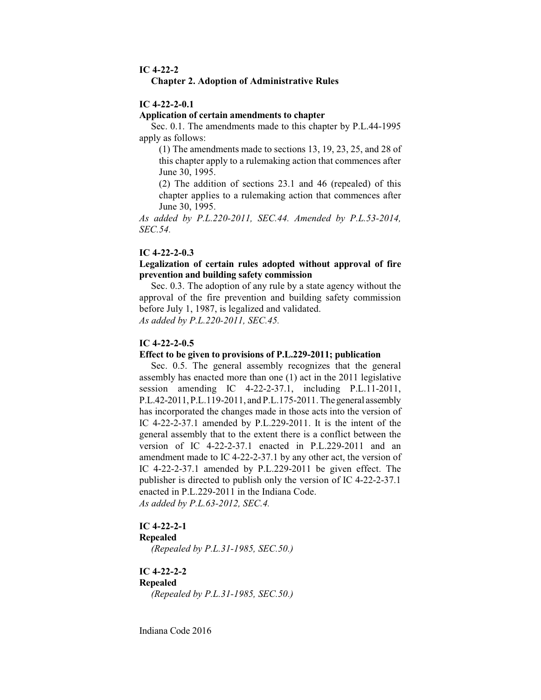#### **IC 4-22-2**

#### **Chapter 2. Adoption of Administrative Rules**

## **IC 4-22-2-0.1**

#### **Application of certain amendments to chapter**

Sec. 0.1. The amendments made to this chapter by P.L.44-1995 apply as follows:

(1) The amendments made to sections 13, 19, 23, 25, and 28 of this chapter apply to a rulemaking action that commences after June 30, 1995.

(2) The addition of sections 23.1 and 46 (repealed) of this chapter applies to a rulemaking action that commences after June 30, 1995.

*As added by P.L.220-2011, SEC.44. Amended by P.L.53-2014, SEC.54.*

## **IC 4-22-2-0.3**

## **Legalization of certain rules adopted without approval of fire prevention and building safety commission**

Sec. 0.3. The adoption of any rule by a state agency without the approval of the fire prevention and building safety commission before July 1, 1987, is legalized and validated. *As added by P.L.220-2011, SEC.45.*

#### **IC 4-22-2-0.5**

#### **Effect to be given to provisions of P.L.229-2011; publication**

Sec. 0.5. The general assembly recognizes that the general assembly has enacted more than one (1) act in the 2011 legislative session amending IC 4-22-2-37.1, including P.L.11-2011, P.L.42-2011,P.L.119-2011, and P.L.175-2011. Thegeneral assembly has incorporated the changes made in those acts into the version of IC 4-22-2-37.1 amended by P.L.229-2011. It is the intent of the general assembly that to the extent there is a conflict between the version of IC 4-22-2-37.1 enacted in P.L.229-2011 and an amendment made to IC 4-22-2-37.1 by any other act, the version of IC 4-22-2-37.1 amended by P.L.229-2011 be given effect. The publisher is directed to publish only the version of IC 4-22-2-37.1 enacted in P.L.229-2011 in the Indiana Code. *As added by P.L.63-2012, SEC.4.*

## **IC 4-22-2-1**

#### **Repealed**

*(Repealed by P.L.31-1985, SEC.50.)*

# **IC 4-22-2-2**

**Repealed**

*(Repealed by P.L.31-1985, SEC.50.)*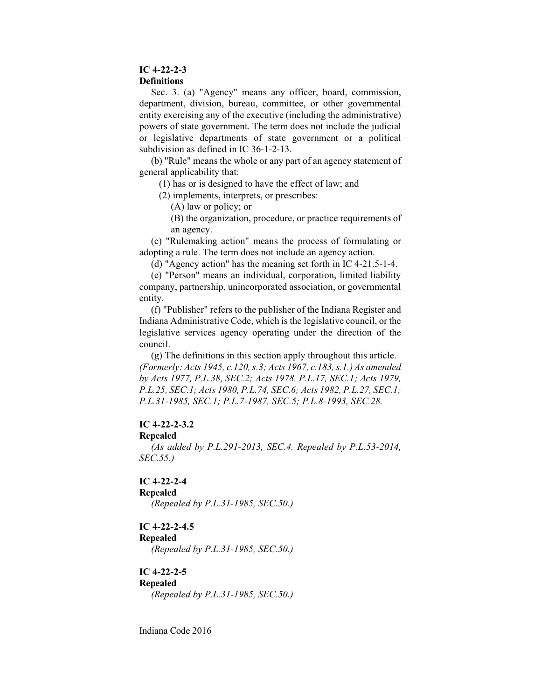## **IC 4-22-2-3**

#### **Definitions**

Sec. 3. (a) "Agency" means any officer, board, commission, department, division, bureau, committee, or other governmental entity exercising any of the executive (including the administrative) powers of state government. The term does not include the judicial or legislative departments of state government or a political subdivision as defined in IC 36-1-2-13.

(b) "Rule" means the whole or any part of an agency statement of general applicability that:

(1) has or is designed to have the effect of law; and

(2) implements, interprets, or prescribes:

(A) law or policy; or

(B) the organization, procedure, or practice requirements of an agency.

(c) "Rulemaking action" means the process of formulating or adopting a rule. The term does not include an agency action.

(d) "Agency action" has the meaning set forth in IC 4-21.5-1-4.

(e) "Person" means an individual, corporation, limited liability company, partnership, unincorporated association, or governmental entity.

(f) "Publisher" refers to the publisher of the Indiana Register and Indiana Administrative Code, which is the legislative council, or the legislative services agency operating under the direction of the council.

(g) The definitions in this section apply throughout this article. *(Formerly: Acts 1945, c.120, s.3; Acts 1967, c.183, s.1.) As amended by Acts 1977, P.L.38, SEC.2; Acts 1978, P.L.17, SEC.1; Acts 1979, P.L.25, SEC.1; Acts 1980, P.L.74, SEC.6; Acts 1982, P.L.27, SEC.1; P.L.31-1985, SEC.1; P.L.7-1987, SEC.5; P.L.8-1993, SEC.28.*

## **IC 4-22-2-3.2**

#### **Repealed**

*(As added by P.L.291-2013, SEC.4. Repealed by P.L.53-2014, SEC.55.)*

# **IC 4-22-2-4**

**Repealed**

*(Repealed by P.L.31-1985, SEC.50.)*

# **IC 4-22-2-4.5**

## **Repealed**

*(Repealed by P.L.31-1985, SEC.50.)*

# **IC 4-22-2-5**

# **Repealed**

*(Repealed by P.L.31-1985, SEC.50.)*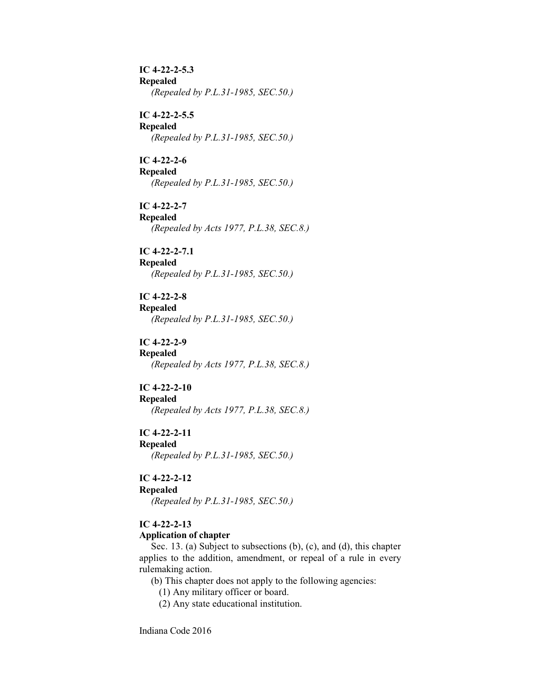**IC 4-22-2-5.3 Repealed** *(Repealed by P.L.31-1985, SEC.50.)*

**IC 4-22-2-5.5 Repealed** *(Repealed by P.L.31-1985, SEC.50.)*

**IC 4-22-2-6 Repealed** *(Repealed by P.L.31-1985, SEC.50.)*

**IC 4-22-2-7 Repealed** *(Repealed by Acts 1977, P.L.38, SEC.8.)*

**IC 4-22-2-7.1 Repealed** *(Repealed by P.L.31-1985, SEC.50.)*

**IC 4-22-2-8 Repealed** *(Repealed by P.L.31-1985, SEC.50.)*

**IC 4-22-2-9 Repealed** *(Repealed by Acts 1977, P.L.38, SEC.8.)*

**IC 4-22-2-10 Repealed** *(Repealed by Acts 1977, P.L.38, SEC.8.)*

**IC 4-22-2-11 Repealed** *(Repealed by P.L.31-1985, SEC.50.)*

**IC 4-22-2-12**

## **Repealed**

*(Repealed by P.L.31-1985, SEC.50.)*

# **IC 4-22-2-13**

## **Application of chapter**

Sec. 13. (a) Subject to subsections (b), (c), and (d), this chapter applies to the addition, amendment, or repeal of a rule in every rulemaking action.

(b) This chapter does not apply to the following agencies:

(1) Any military officer or board.

(2) Any state educational institution.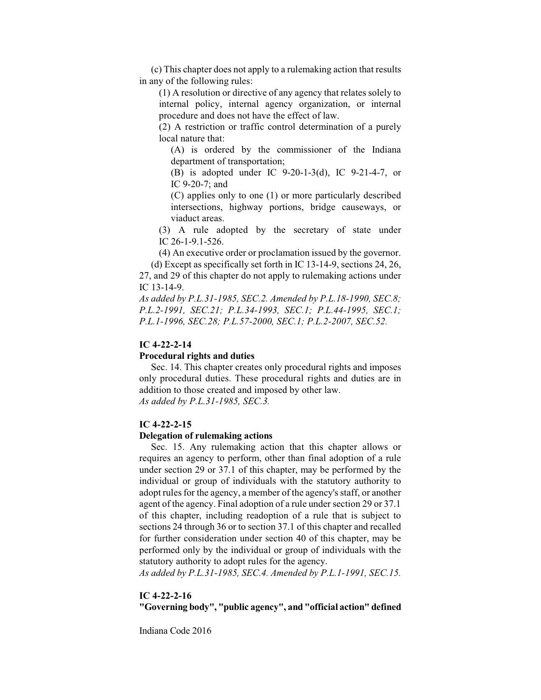(c) This chapter does not apply to a rulemaking action that results in any of the following rules:

(1) A resolution or directive of any agency that relates solely to internal policy, internal agency organization, or internal procedure and does not have the effect of law.

(2) A restriction or traffic control determination of a purely local nature that:

(A) is ordered by the commissioner of the Indiana department of transportation;

(B) is adopted under IC 9-20-1-3(d), IC 9-21-4-7, or IC 9-20-7; and

(C) applies only to one (1) or more particularly described intersections, highway portions, bridge causeways, or viaduct areas.

(3) A rule adopted by the secretary of state under IC 26-1-9.1-526.

(4) An executive order or proclamation issued by the governor.

(d) Except as specifically set forth in IC 13-14-9, sections 24, 26, 27, and 29 of this chapter do not apply to rulemaking actions under IC 13-14-9.

*As added by P.L.31-1985, SEC.2. Amended by P.L.18-1990, SEC.8; P.L.2-1991, SEC.21; P.L.34-1993, SEC.1; P.L.44-1995, SEC.1; P.L.1-1996, SEC.28; P.L.57-2000, SEC.1; P.L.2-2007, SEC.52.*

## **IC 4-22-2-14**

## **Procedural rights and duties**

Sec. 14. This chapter creates only procedural rights and imposes only procedural duties. These procedural rights and duties are in addition to those created and imposed by other law. *As added by P.L.31-1985, SEC.3.*

#### **IC 4-22-2-15**

#### **Delegation of rulemaking actions**

Sec. 15. Any rulemaking action that this chapter allows or requires an agency to perform, other than final adoption of a rule under section 29 or 37.1 of this chapter, may be performed by the individual or group of individuals with the statutory authority to adopt rules for the agency, a member of the agency's staff, or another agent of the agency. Final adoption of a rule under section 29 or 37.1 of this chapter, including readoption of a rule that is subject to sections 24 through 36 or to section 37.1 of this chapter and recalled for further consideration under section 40 of this chapter, may be performed only by the individual or group of individuals with the statutory authority to adopt rules for the agency.

*As added by P.L.31-1985, SEC.4. Amended by P.L.1-1991, SEC.15.*

## **IC 4-22-2-16**

**"Governing body", "public agency", and "official action" defined**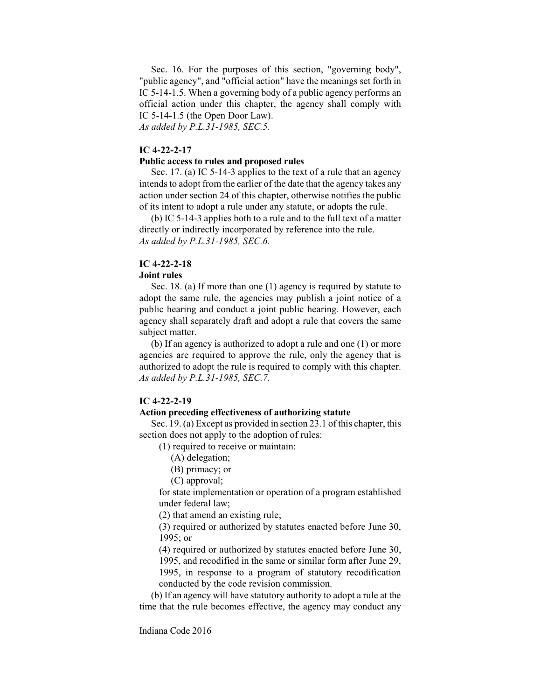Sec. 16. For the purposes of this section, "governing body", "public agency", and "official action" have the meanings set forth in IC 5-14-1.5. When a governing body of a public agency performs an official action under this chapter, the agency shall comply with IC 5-14-1.5 (the Open Door Law).

*As added by P.L.31-1985, SEC.5.*

## **IC 4-22-2-17**

## **Public access to rules and proposed rules**

Sec. 17. (a) IC 5-14-3 applies to the text of a rule that an agency intends to adopt from the earlier of the date that the agency takes any action under section 24 of this chapter, otherwise notifies the public of its intent to adopt a rule under any statute, or adopts the rule.

(b) IC 5-14-3 applies both to a rule and to the full text of a matter directly or indirectly incorporated by reference into the rule. *As added by P.L.31-1985, SEC.6.*

#### **IC 4-22-2-18**

#### **Joint rules**

Sec. 18. (a) If more than one (1) agency is required by statute to adopt the same rule, the agencies may publish a joint notice of a public hearing and conduct a joint public hearing. However, each agency shall separately draft and adopt a rule that covers the same subject matter.

(b) If an agency is authorized to adopt a rule and one (1) or more agencies are required to approve the rule, only the agency that is authorized to adopt the rule is required to comply with this chapter. *As added by P.L.31-1985, SEC.7.*

## **IC 4-22-2-19**

#### **Action preceding effectiveness of authorizing statute**

Sec. 19. (a) Except as provided in section 23.1 of this chapter, this section does not apply to the adoption of rules:

(1) required to receive or maintain:

- (A) delegation;
- (B) primacy; or
- (C) approval;

for state implementation or operation of a program established under federal law;

(2) that amend an existing rule;

(3) required or authorized by statutes enacted before June 30, 1995; or

(4) required or authorized by statutes enacted before June 30, 1995, and recodified in the same or similar form after June 29, 1995, in response to a program of statutory recodification conducted by the code revision commission.

(b) If an agency will have statutory authority to adopt a rule at the time that the rule becomes effective, the agency may conduct any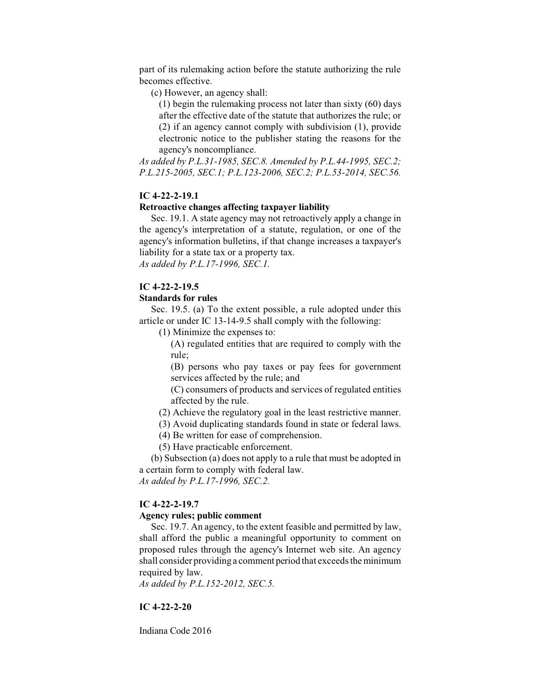part of its rulemaking action before the statute authorizing the rule becomes effective.

(c) However, an agency shall:

(1) begin the rulemaking process not later than sixty (60) days after the effective date of the statute that authorizes the rule; or (2) if an agency cannot comply with subdivision (1), provide electronic notice to the publisher stating the reasons for the agency's noncompliance.

*As added by P.L.31-1985, SEC.8. Amended by P.L.44-1995, SEC.2; P.L.215-2005, SEC.1; P.L.123-2006, SEC.2; P.L.53-2014, SEC.56.*

# **IC 4-22-2-19.1**

## **Retroactive changes affecting taxpayer liability**

Sec. 19.1. A state agency may not retroactively apply a change in the agency's interpretation of a statute, regulation, or one of the agency's information bulletins, if that change increases a taxpayer's liability for a state tax or a property tax.

*As added by P.L.17-1996, SEC.1.*

## **IC 4-22-2-19.5**

## **Standards for rules**

Sec. 19.5. (a) To the extent possible, a rule adopted under this article or under IC 13-14-9.5 shall comply with the following:

(1) Minimize the expenses to:

(A) regulated entities that are required to comply with the rule;

(B) persons who pay taxes or pay fees for government services affected by the rule; and

(C) consumers of products and services of regulated entities affected by the rule.

(2) Achieve the regulatory goal in the least restrictive manner.

(3) Avoid duplicating standards found in state or federal laws.

(4) Be written for ease of comprehension.

(5) Have practicable enforcement.

(b) Subsection (a) does not apply to a rule that must be adopted in a certain form to comply with federal law.

*As added by P.L.17-1996, SEC.2.*

#### **IC 4-22-2-19.7**

## **Agency rules; public comment**

Sec. 19.7. An agency, to the extent feasible and permitted by law, shall afford the public a meaningful opportunity to comment on proposed rules through the agency's Internet web site. An agency shall consider providing a comment period that exceeds the minimum required by law.

*As added by P.L.152-2012, SEC.5.*

#### **IC 4-22-2-20**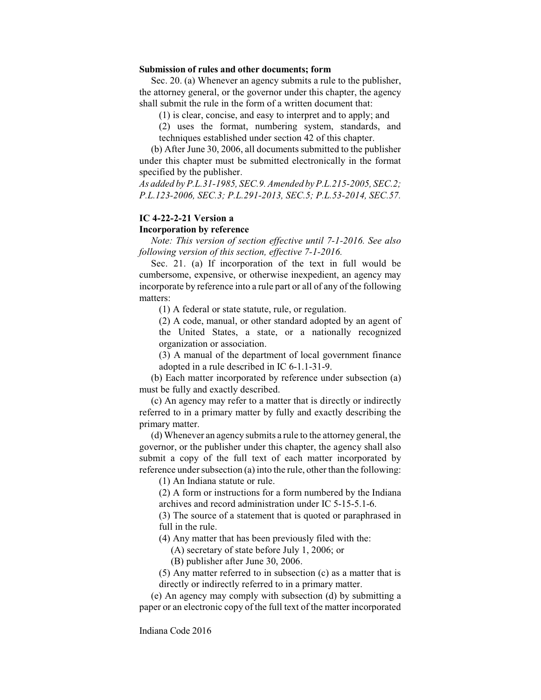#### **Submission of rules and other documents; form**

Sec. 20. (a) Whenever an agency submits a rule to the publisher, the attorney general, or the governor under this chapter, the agency shall submit the rule in the form of a written document that:

(1) is clear, concise, and easy to interpret and to apply; and

(2) uses the format, numbering system, standards, and techniques established under section 42 of this chapter.

(b) After June 30, 2006, all documents submitted to the publisher under this chapter must be submitted electronically in the format specified by the publisher.

*As added by P.L.31-1985, SEC.9. Amended by P.L.215-2005, SEC.2; P.L.123-2006, SEC.3; P.L.291-2013, SEC.5; P.L.53-2014, SEC.57.*

# **IC 4-22-2-21 Version a**

#### **Incorporation by reference**

*Note: This version of section effective until 7-1-2016. See also following version of this section, effective 7-1-2016.*

Sec. 21. (a) If incorporation of the text in full would be cumbersome, expensive, or otherwise inexpedient, an agency may incorporate by reference into a rule part or all of any of the following matters:

(1) A federal or state statute, rule, or regulation.

(2) A code, manual, or other standard adopted by an agent of the United States, a state, or a nationally recognized organization or association.

(3) A manual of the department of local government finance adopted in a rule described in IC 6-1.1-31-9.

(b) Each matter incorporated by reference under subsection (a) must be fully and exactly described.

(c) An agency may refer to a matter that is directly or indirectly referred to in a primary matter by fully and exactly describing the primary matter.

(d) Whenever an agency submits a rule to the attorney general, the governor, or the publisher under this chapter, the agency shall also submit a copy of the full text of each matter incorporated by reference under subsection (a) into the rule, other than the following:

(1) An Indiana statute or rule.

(2) A form or instructions for a form numbered by the Indiana archives and record administration under IC 5-15-5.1-6.

(3) The source of a statement that is quoted or paraphrased in full in the rule.

(4) Any matter that has been previously filed with the:

(A) secretary of state before July 1, 2006; or

(B) publisher after June 30, 2006.

(5) Any matter referred to in subsection (c) as a matter that is directly or indirectly referred to in a primary matter.

(e) An agency may comply with subsection (d) by submitting a paper or an electronic copy of the full text of the matter incorporated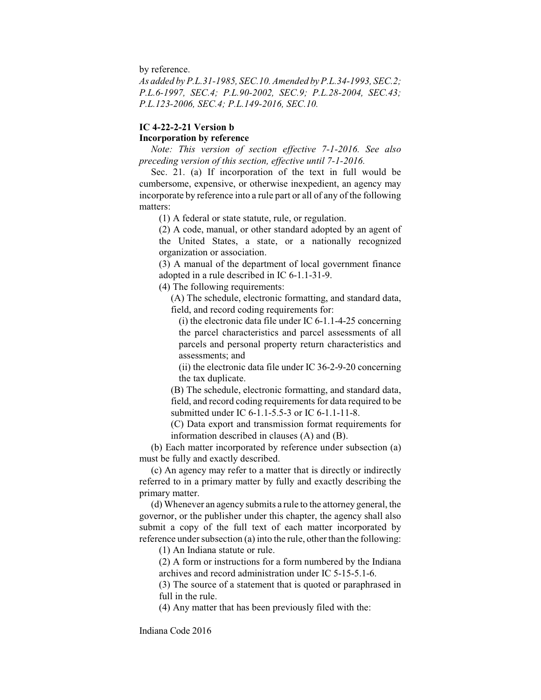by reference.

*As added by P.L.31-1985, SEC.10. Amended by P.L.34-1993, SEC.2; P.L.6-1997, SEC.4; P.L.90-2002, SEC.9; P.L.28-2004, SEC.43; P.L.123-2006, SEC.4; P.L.149-2016, SEC.10.*

# **IC 4-22-2-21 Version b Incorporation by reference**

*Note: This version of section effective 7-1-2016. See also preceding version of this section, effective until 7-1-2016.*

Sec. 21. (a) If incorporation of the text in full would be cumbersome, expensive, or otherwise inexpedient, an agency may incorporate by reference into a rule part or all of any of the following matters:

(1) A federal or state statute, rule, or regulation.

(2) A code, manual, or other standard adopted by an agent of the United States, a state, or a nationally recognized organization or association.

(3) A manual of the department of local government finance adopted in a rule described in IC 6-1.1-31-9.

(4) The following requirements:

(A) The schedule, electronic formatting, and standard data, field, and record coding requirements for:

(i) the electronic data file under IC 6-1.1-4-25 concerning the parcel characteristics and parcel assessments of all parcels and personal property return characteristics and assessments; and

(ii) the electronic data file under IC 36-2-9-20 concerning the tax duplicate.

(B) The schedule, electronic formatting, and standard data, field, and record coding requirements for data required to be submitted under IC 6-1.1-5.5-3 or IC 6-1.1-11-8.

(C) Data export and transmission format requirements for information described in clauses (A) and (B).

(b) Each matter incorporated by reference under subsection (a) must be fully and exactly described.

(c) An agency may refer to a matter that is directly or indirectly referred to in a primary matter by fully and exactly describing the primary matter.

(d) Whenever an agency submits a rule to the attorney general, the governor, or the publisher under this chapter, the agency shall also submit a copy of the full text of each matter incorporated by reference under subsection (a) into the rule, other than the following:

(1) An Indiana statute or rule.

(2) A form or instructions for a form numbered by the Indiana archives and record administration under IC 5-15-5.1-6.

(3) The source of a statement that is quoted or paraphrased in full in the rule.

(4) Any matter that has been previously filed with the: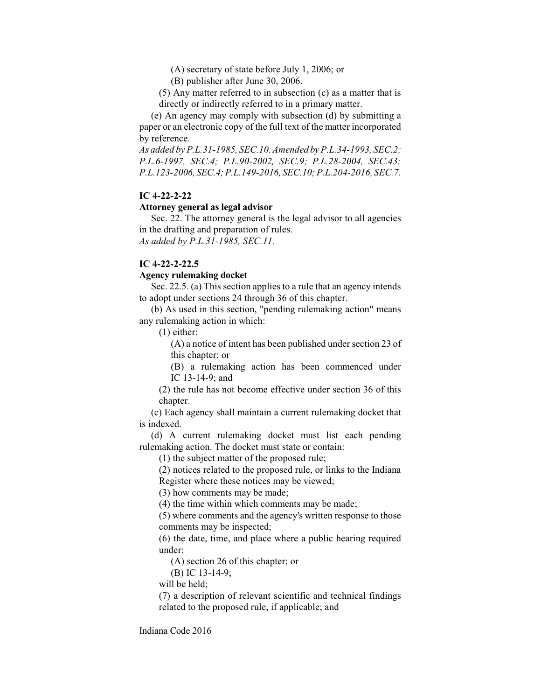(A) secretary of state before July 1, 2006; or

(B) publisher after June 30, 2006.

(5) Any matter referred to in subsection (c) as a matter that is directly or indirectly referred to in a primary matter.

(e) An agency may comply with subsection (d) by submitting a paper or an electronic copy of the full text of the matter incorporated by reference.

*As added by P.L.31-1985, SEC.10. Amended by P.L.34-1993, SEC.2; P.L.6-1997, SEC.4; P.L.90-2002, SEC.9; P.L.28-2004, SEC.43; P.L.123-2006, SEC.4; P.L.149-2016, SEC.10; P.L.204-2016, SEC.7.*

# **IC 4-22-2-22**

#### **Attorney general as legal advisor**

Sec. 22. The attorney general is the legal advisor to all agencies in the drafting and preparation of rules. *As added by P.L.31-1985, SEC.11.*

#### **IC 4-22-2-22.5**

#### **Agency rulemaking docket**

Sec. 22.5. (a) This section applies to a rule that an agency intends to adopt under sections 24 through 36 of this chapter.

(b) As used in this section, "pending rulemaking action" means any rulemaking action in which:

(1) either:

(A) a notice of intent has been published under section 23 of this chapter; or

(B) a rulemaking action has been commenced under IC 13-14-9; and

(2) the rule has not become effective under section 36 of this chapter.

(c) Each agency shall maintain a current rulemaking docket that is indexed.

(d) A current rulemaking docket must list each pending rulemaking action. The docket must state or contain:

(1) the subject matter of the proposed rule;

(2) notices related to the proposed rule, or links to the Indiana Register where these notices may be viewed;

(3) how comments may be made;

(4) the time within which comments may be made;

(5) where comments and the agency's written response to those comments may be inspected;

(6) the date, time, and place where a public hearing required under:

(A) section 26 of this chapter; or

(B) IC 13-14-9;

will be held;

(7) a description of relevant scientific and technical findings related to the proposed rule, if applicable; and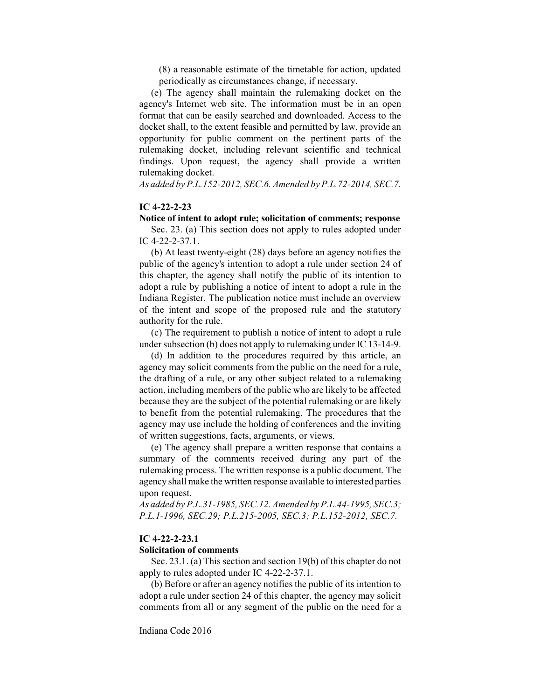(8) a reasonable estimate of the timetable for action, updated periodically as circumstances change, if necessary.

(e) The agency shall maintain the rulemaking docket on the agency's Internet web site. The information must be in an open format that can be easily searched and downloaded. Access to the docket shall, to the extent feasible and permitted by law, provide an opportunity for public comment on the pertinent parts of the rulemaking docket, including relevant scientific and technical findings. Upon request, the agency shall provide a written rulemaking docket.

*As added by P.L.152-2012, SEC.6. Amended by P.L.72-2014, SEC.7.*

## **IC 4-22-2-23**

## **Notice of intent to adopt rule; solicitation of comments; response**

Sec. 23. (a) This section does not apply to rules adopted under IC 4-22-2-37.1.

(b) At least twenty-eight (28) days before an agency notifies the public of the agency's intention to adopt a rule under section 24 of this chapter, the agency shall notify the public of its intention to adopt a rule by publishing a notice of intent to adopt a rule in the Indiana Register. The publication notice must include an overview of the intent and scope of the proposed rule and the statutory authority for the rule.

(c) The requirement to publish a notice of intent to adopt a rule under subsection (b) does not apply to rulemaking under IC 13-14-9.

(d) In addition to the procedures required by this article, an agency may solicit comments from the public on the need for a rule, the drafting of a rule, or any other subject related to a rulemaking action, including members of the public who are likely to be affected because they are the subject of the potential rulemaking or are likely to benefit from the potential rulemaking. The procedures that the agency may use include the holding of conferences and the inviting of written suggestions, facts, arguments, or views.

(e) The agency shall prepare a written response that contains a summary of the comments received during any part of the rulemaking process. The written response is a public document. The agency shall make the written response available to interested parties upon request.

*As added by P.L.31-1985, SEC.12. Amended by P.L.44-1995, SEC.3; P.L.1-1996, SEC.29; P.L.215-2005, SEC.3; P.L.152-2012, SEC.7.*

### **IC 4-22-2-23.1**

#### **Solicitation of comments**

Sec. 23.1. (a) This section and section 19(b) of this chapter do not apply to rules adopted under IC 4-22-2-37.1.

(b) Before or after an agency notifies the public of its intention to adopt a rule under section 24 of this chapter, the agency may solicit comments from all or any segment of the public on the need for a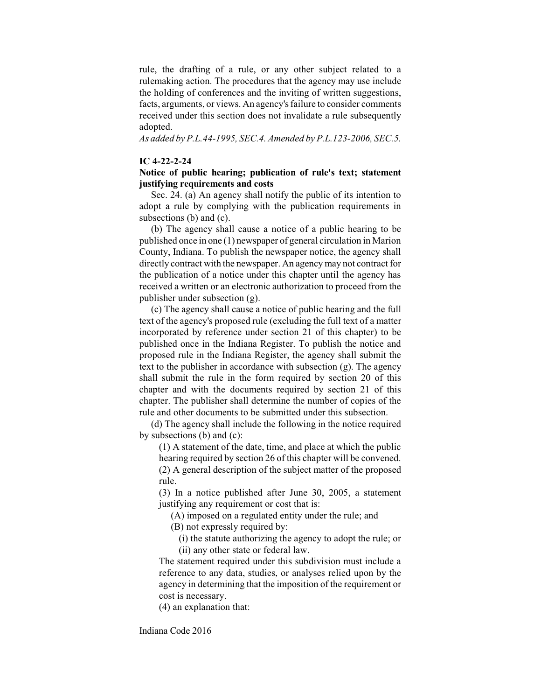rule, the drafting of a rule, or any other subject related to a rulemaking action. The procedures that the agency may use include the holding of conferences and the inviting of written suggestions, facts, arguments, or views. An agency's failure to consider comments received under this section does not invalidate a rule subsequently adopted.

*As added by P.L.44-1995, SEC.4. Amended by P.L.123-2006, SEC.5.*

## **IC 4-22-2-24**

## **Notice of public hearing; publication of rule's text; statement justifying requirements and costs**

Sec. 24. (a) An agency shall notify the public of its intention to adopt a rule by complying with the publication requirements in subsections (b) and (c).

(b) The agency shall cause a notice of a public hearing to be published once in one (1) newspaper of general circulation in Marion County, Indiana. To publish the newspaper notice, the agency shall directly contract with the newspaper. An agency may not contract for the publication of a notice under this chapter until the agency has received a written or an electronic authorization to proceed from the publisher under subsection (g).

(c) The agency shall cause a notice of public hearing and the full text of the agency's proposed rule (excluding the full text of a matter incorporated by reference under section 21 of this chapter) to be published once in the Indiana Register. To publish the notice and proposed rule in the Indiana Register, the agency shall submit the text to the publisher in accordance with subsection (g). The agency shall submit the rule in the form required by section 20 of this chapter and with the documents required by section 21 of this chapter. The publisher shall determine the number of copies of the rule and other documents to be submitted under this subsection.

(d) The agency shall include the following in the notice required by subsections (b) and (c):

(1) A statement of the date, time, and place at which the public hearing required by section 26 of this chapter will be convened. (2) A general description of the subject matter of the proposed rule.

(3) In a notice published after June 30, 2005, a statement justifying any requirement or cost that is:

(A) imposed on a regulated entity under the rule; and

(B) not expressly required by:

(i) the statute authorizing the agency to adopt the rule; or (ii) any other state or federal law.

The statement required under this subdivision must include a reference to any data, studies, or analyses relied upon by the agency in determining that the imposition of the requirement or cost is necessary.

(4) an explanation that: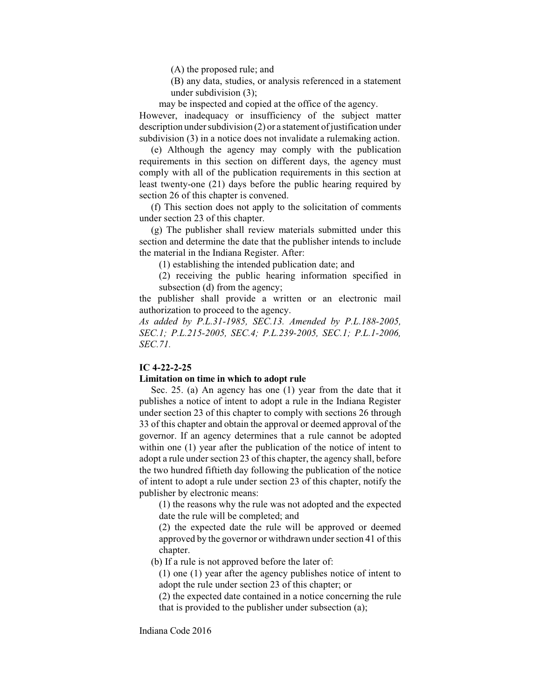(A) the proposed rule; and

(B) any data, studies, or analysis referenced in a statement under subdivision (3);

may be inspected and copied at the office of the agency.

However, inadequacy or insufficiency of the subject matter description under subdivision (2) or a statement of justification under subdivision (3) in a notice does not invalidate a rulemaking action.

(e) Although the agency may comply with the publication requirements in this section on different days, the agency must comply with all of the publication requirements in this section at least twenty-one (21) days before the public hearing required by section 26 of this chapter is convened.

(f) This section does not apply to the solicitation of comments under section 23 of this chapter.

(g) The publisher shall review materials submitted under this section and determine the date that the publisher intends to include the material in the Indiana Register. After:

(1) establishing the intended publication date; and

(2) receiving the public hearing information specified in subsection (d) from the agency;

the publisher shall provide a written or an electronic mail authorization to proceed to the agency.

*As added by P.L.31-1985, SEC.13. Amended by P.L.188-2005, SEC.1; P.L.215-2005, SEC.4; P.L.239-2005, SEC.1; P.L.1-2006, SEC.71.*

## **IC 4-22-2-25**

## **Limitation on time in which to adopt rule**

Sec. 25. (a) An agency has one (1) year from the date that it publishes a notice of intent to adopt a rule in the Indiana Register under section 23 of this chapter to comply with sections 26 through 33 of this chapter and obtain the approval or deemed approval of the governor. If an agency determines that a rule cannot be adopted within one (1) year after the publication of the notice of intent to adopt a rule under section 23 of this chapter, the agency shall, before the two hundred fiftieth day following the publication of the notice of intent to adopt a rule under section 23 of this chapter, notify the publisher by electronic means:

(1) the reasons why the rule was not adopted and the expected date the rule will be completed; and

(2) the expected date the rule will be approved or deemed approved by the governor or withdrawn under section 41 of this chapter.

(b) If a rule is not approved before the later of:

(1) one (1) year after the agency publishes notice of intent to adopt the rule under section 23 of this chapter; or

(2) the expected date contained in a notice concerning the rule that is provided to the publisher under subsection (a);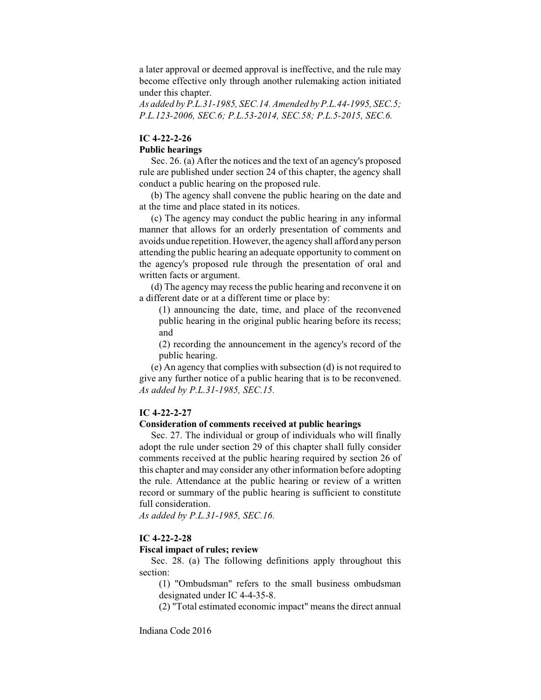a later approval or deemed approval is ineffective, and the rule may become effective only through another rulemaking action initiated under this chapter.

*As added by P.L.31-1985, SEC.14. Amended by P.L.44-1995, SEC.5; P.L.123-2006, SEC.6; P.L.53-2014, SEC.58; P.L.5-2015, SEC.6.*

## **IC 4-22-2-26**

## **Public hearings**

Sec. 26. (a) After the notices and the text of an agency's proposed rule are published under section 24 of this chapter, the agency shall conduct a public hearing on the proposed rule.

(b) The agency shall convene the public hearing on the date and at the time and place stated in its notices.

(c) The agency may conduct the public hearing in any informal manner that allows for an orderly presentation of comments and avoids undue repetition. However, the agency shall afford any person attending the public hearing an adequate opportunity to comment on the agency's proposed rule through the presentation of oral and written facts or argument.

(d) The agency may recess the public hearing and reconvene it on a different date or at a different time or place by:

(1) announcing the date, time, and place of the reconvened public hearing in the original public hearing before its recess; and

(2) recording the announcement in the agency's record of the public hearing.

(e) An agency that complies with subsection (d) is not required to give any further notice of a public hearing that is to be reconvened. *As added by P.L.31-1985, SEC.15.*

## **IC 4-22-2-27**

## **Consideration of comments received at public hearings**

Sec. 27. The individual or group of individuals who will finally adopt the rule under section 29 of this chapter shall fully consider comments received at the public hearing required by section 26 of this chapter and may consider any other information before adopting the rule. Attendance at the public hearing or review of a written record or summary of the public hearing is sufficient to constitute full consideration.

*As added by P.L.31-1985, SEC.16.*

#### **IC 4-22-2-28**

### **Fiscal impact of rules; review**

Sec. 28. (a) The following definitions apply throughout this section:

(1) "Ombudsman" refers to the small business ombudsman designated under IC 4-4-35-8.

(2) "Total estimated economic impact" means the direct annual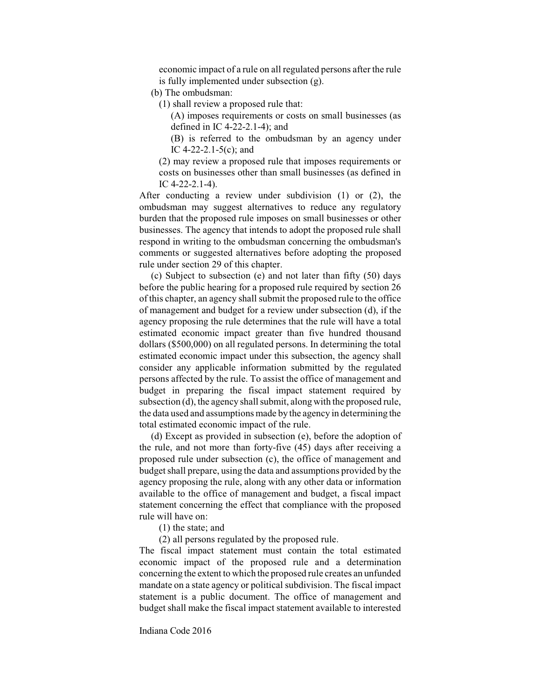economic impact of a rule on all regulated persons after the rule is fully implemented under subsection (g).

(b) The ombudsman:

(1) shall review a proposed rule that:

(A) imposes requirements or costs on small businesses (as defined in IC 4-22-2.1-4); and

(B) is referred to the ombudsman by an agency under IC 4-22-2.1-5(c); and

(2) may review a proposed rule that imposes requirements or costs on businesses other than small businesses (as defined in IC 4-22-2.1-4).

After conducting a review under subdivision (1) or (2), the ombudsman may suggest alternatives to reduce any regulatory burden that the proposed rule imposes on small businesses or other businesses. The agency that intends to adopt the proposed rule shall respond in writing to the ombudsman concerning the ombudsman's comments or suggested alternatives before adopting the proposed rule under section 29 of this chapter.

(c) Subject to subsection (e) and not later than fifty (50) days before the public hearing for a proposed rule required by section 26 of this chapter, an agency shall submit the proposed rule to the office of management and budget for a review under subsection (d), if the agency proposing the rule determines that the rule will have a total estimated economic impact greater than five hundred thousand dollars (\$500,000) on all regulated persons. In determining the total estimated economic impact under this subsection, the agency shall consider any applicable information submitted by the regulated persons affected by the rule. To assist the office of management and budget in preparing the fiscal impact statement required by subsection (d), the agency shall submit, along with the proposed rule, the data used and assumptions made by the agency in determining the total estimated economic impact of the rule.

(d) Except as provided in subsection (e), before the adoption of the rule, and not more than forty-five (45) days after receiving a proposed rule under subsection (c), the office of management and budget shall prepare, using the data and assumptions provided by the agency proposing the rule, along with any other data or information available to the office of management and budget, a fiscal impact statement concerning the effect that compliance with the proposed rule will have on:

(1) the state; and

(2) all persons regulated by the proposed rule.

The fiscal impact statement must contain the total estimated economic impact of the proposed rule and a determination concerning the extent to which the proposed rule creates an unfunded mandate on a state agency or political subdivision. The fiscal impact statement is a public document. The office of management and budget shall make the fiscal impact statement available to interested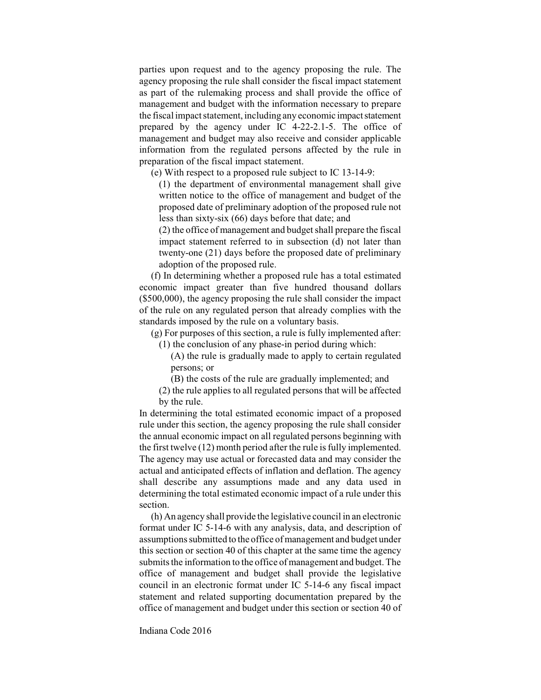parties upon request and to the agency proposing the rule. The agency proposing the rule shall consider the fiscal impact statement as part of the rulemaking process and shall provide the office of management and budget with the information necessary to prepare the fiscal impact statement, including any economic impact statement prepared by the agency under IC 4-22-2.1-5. The office of management and budget may also receive and consider applicable information from the regulated persons affected by the rule in preparation of the fiscal impact statement.

(e) With respect to a proposed rule subject to IC 13-14-9:

(1) the department of environmental management shall give written notice to the office of management and budget of the proposed date of preliminary adoption of the proposed rule not less than sixty-six (66) days before that date; and

(2) the office of management and budget shall prepare the fiscal impact statement referred to in subsection (d) not later than twenty-one (21) days before the proposed date of preliminary adoption of the proposed rule.

(f) In determining whether a proposed rule has a total estimated economic impact greater than five hundred thousand dollars (\$500,000), the agency proposing the rule shall consider the impact of the rule on any regulated person that already complies with the standards imposed by the rule on a voluntary basis.

(g) For purposes of this section, a rule is fully implemented after: (1) the conclusion of any phase-in period during which:

(A) the rule is gradually made to apply to certain regulated

persons; or

(B) the costs of the rule are gradually implemented; and

(2) the rule applies to all regulated persons that will be affected by the rule.

In determining the total estimated economic impact of a proposed rule under this section, the agency proposing the rule shall consider the annual economic impact on all regulated persons beginning with the first twelve  $(12)$  month period after the rule is fully implemented. The agency may use actual or forecasted data and may consider the actual and anticipated effects of inflation and deflation. The agency shall describe any assumptions made and any data used in determining the total estimated economic impact of a rule under this section.

(h) An agency shall provide the legislative council in an electronic format under IC 5-14-6 with any analysis, data, and description of assumptions submitted to the office of management and budget under this section or section 40 of this chapter at the same time the agency submits the information to the office of management and budget. The office of management and budget shall provide the legislative council in an electronic format under IC 5-14-6 any fiscal impact statement and related supporting documentation prepared by the office of management and budget under this section or section 40 of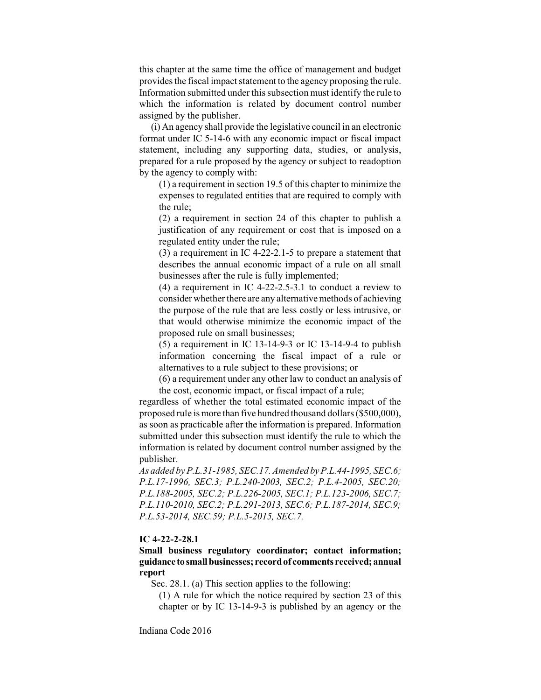this chapter at the same time the office of management and budget provides the fiscal impact statement to the agency proposing the rule. Information submitted under this subsection must identify the rule to which the information is related by document control number assigned by the publisher.

(i) An agency shall provide the legislative council in an electronic format under IC 5-14-6 with any economic impact or fiscal impact statement, including any supporting data, studies, or analysis, prepared for a rule proposed by the agency or subject to readoption by the agency to comply with:

(1) a requirement in section 19.5 of this chapter to minimize the expenses to regulated entities that are required to comply with the rule;

(2) a requirement in section 24 of this chapter to publish a justification of any requirement or cost that is imposed on a regulated entity under the rule;

(3) a requirement in IC 4-22-2.1-5 to prepare a statement that describes the annual economic impact of a rule on all small businesses after the rule is fully implemented;

(4) a requirement in IC 4-22-2.5-3.1 to conduct a review to consider whether there are any alternative methods of achieving the purpose of the rule that are less costly or less intrusive, or that would otherwise minimize the economic impact of the proposed rule on small businesses;

(5) a requirement in IC 13-14-9-3 or IC 13-14-9-4 to publish information concerning the fiscal impact of a rule or alternatives to a rule subject to these provisions; or

(6) a requirement under any other law to conduct an analysis of the cost, economic impact, or fiscal impact of a rule;

regardless of whether the total estimated economic impact of the proposed rule ismore than five hundred thousand dollars(\$500,000), as soon as practicable after the information is prepared. Information submitted under this subsection must identify the rule to which the information is related by document control number assigned by the publisher.

*As added by P.L.31-1985, SEC.17. Amended by P.L.44-1995, SEC.6; P.L.17-1996, SEC.3; P.L.240-2003, SEC.2; P.L.4-2005, SEC.20; P.L.188-2005, SEC.2; P.L.226-2005, SEC.1; P.L.123-2006, SEC.7; P.L.110-2010, SEC.2; P.L.291-2013, SEC.6; P.L.187-2014, SEC.9; P.L.53-2014, SEC.59; P.L.5-2015, SEC.7.*

## **IC 4-22-2-28.1**

# **Small business regulatory coordinator; contact information; guidance tosmall businesses; recordof comments received; annual report**

Sec. 28.1. (a) This section applies to the following:

(1) A rule for which the notice required by section 23 of this chapter or by IC 13-14-9-3 is published by an agency or the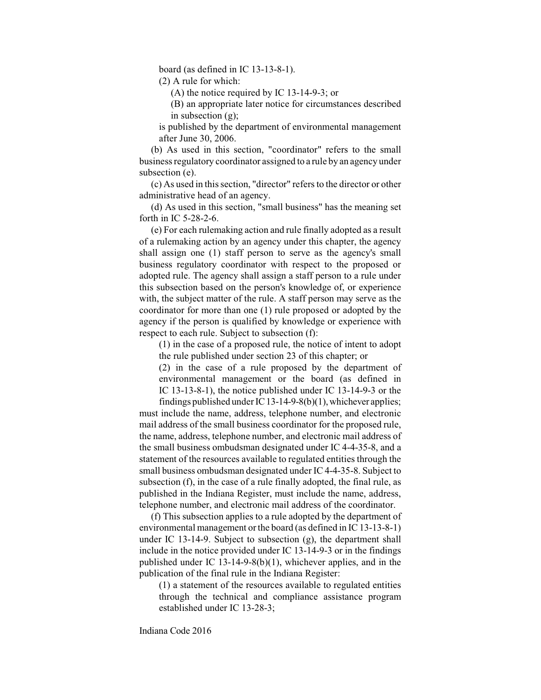board (as defined in IC 13-13-8-1).

(2) A rule for which:

(A) the notice required by IC 13-14-9-3; or

(B) an appropriate later notice for circumstances described in subsection (g);

is published by the department of environmental management after June 30, 2006.

(b) As used in this section, "coordinator" refers to the small business regulatory coordinator assigned to a rule by an agency under subsection (e).

(c) As used in this section, "director" refersto the director or other administrative head of an agency.

(d) As used in this section, "small business" has the meaning set forth in IC 5-28-2-6.

(e) For each rulemaking action and rule finally adopted as a result of a rulemaking action by an agency under this chapter, the agency shall assign one (1) staff person to serve as the agency's small business regulatory coordinator with respect to the proposed or adopted rule. The agency shall assign a staff person to a rule under this subsection based on the person's knowledge of, or experience with, the subject matter of the rule. A staff person may serve as the coordinator for more than one (1) rule proposed or adopted by the agency if the person is qualified by knowledge or experience with respect to each rule. Subject to subsection (f):

(1) in the case of a proposed rule, the notice of intent to adopt the rule published under section 23 of this chapter; or

(2) in the case of a rule proposed by the department of environmental management or the board (as defined in IC 13-13-8-1), the notice published under IC 13-14-9-3 or the

findings published under IC 13-14-9-8(b)(1), whichever applies; must include the name, address, telephone number, and electronic mail address of the small business coordinator for the proposed rule, the name, address, telephone number, and electronic mail address of the small business ombudsman designated under IC 4-4-35-8, and a statement of the resources available to regulated entities through the small business ombudsman designated under IC 4-4-35-8. Subject to subsection (f), in the case of a rule finally adopted, the final rule, as published in the Indiana Register, must include the name, address, telephone number, and electronic mail address of the coordinator.

(f) This subsection applies to a rule adopted by the department of environmental management or the board (as defined in IC 13-13-8-1) under IC 13-14-9. Subject to subsection (g), the department shall include in the notice provided under IC 13-14-9-3 or in the findings published under IC 13-14-9-8(b)(1), whichever applies, and in the publication of the final rule in the Indiana Register:

(1) a statement of the resources available to regulated entities through the technical and compliance assistance program established under IC 13-28-3;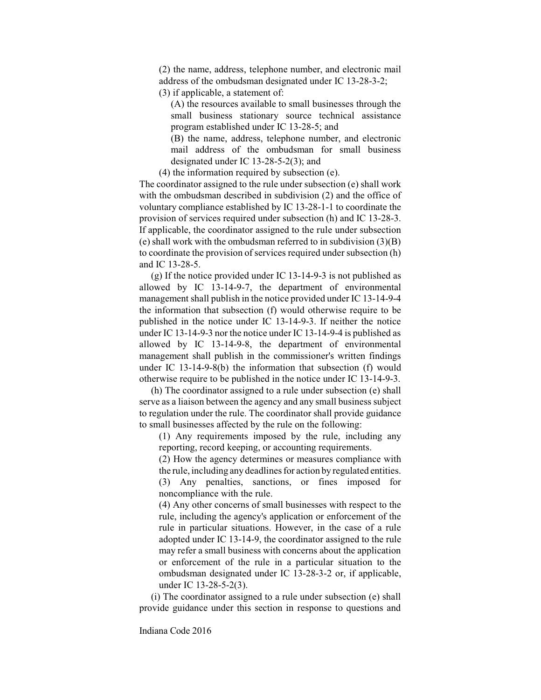(2) the name, address, telephone number, and electronic mail address of the ombudsman designated under IC 13-28-3-2;

(3) if applicable, a statement of:

(A) the resources available to small businesses through the small business stationary source technical assistance program established under IC 13-28-5; and

(B) the name, address, telephone number, and electronic mail address of the ombudsman for small business designated under IC 13-28-5-2(3); and

(4) the information required by subsection (e).

The coordinator assigned to the rule under subsection (e) shall work with the ombudsman described in subdivision (2) and the office of voluntary compliance established by IC 13-28-1-1 to coordinate the provision of services required under subsection (h) and IC 13-28-3. If applicable, the coordinator assigned to the rule under subsection (e) shall work with the ombudsman referred to in subdivision (3)(B) to coordinate the provision of services required under subsection (h) and IC 13-28-5.

(g) If the notice provided under IC 13-14-9-3 is not published as allowed by IC 13-14-9-7, the department of environmental management shall publish in the notice provided under IC 13-14-9-4 the information that subsection (f) would otherwise require to be published in the notice under IC 13-14-9-3. If neither the notice under IC 13-14-9-3 nor the notice under IC 13-14-9-4 is published as allowed by IC 13-14-9-8, the department of environmental management shall publish in the commissioner's written findings under IC 13-14-9-8(b) the information that subsection (f) would otherwise require to be published in the notice under IC 13-14-9-3.

(h) The coordinator assigned to a rule under subsection (e) shall serve as a liaison between the agency and any small business subject to regulation under the rule. The coordinator shall provide guidance to small businesses affected by the rule on the following:

(1) Any requirements imposed by the rule, including any reporting, record keeping, or accounting requirements.

(2) How the agency determines or measures compliance with the rule, including any deadlines for action by regulated entities. (3) Any penalties, sanctions, or fines imposed for noncompliance with the rule.

(4) Any other concerns of small businesses with respect to the rule, including the agency's application or enforcement of the rule in particular situations. However, in the case of a rule adopted under IC 13-14-9, the coordinator assigned to the rule may refer a small business with concerns about the application or enforcement of the rule in a particular situation to the ombudsman designated under IC 13-28-3-2 or, if applicable, under IC 13-28-5-2(3).

(i) The coordinator assigned to a rule under subsection (e) shall provide guidance under this section in response to questions and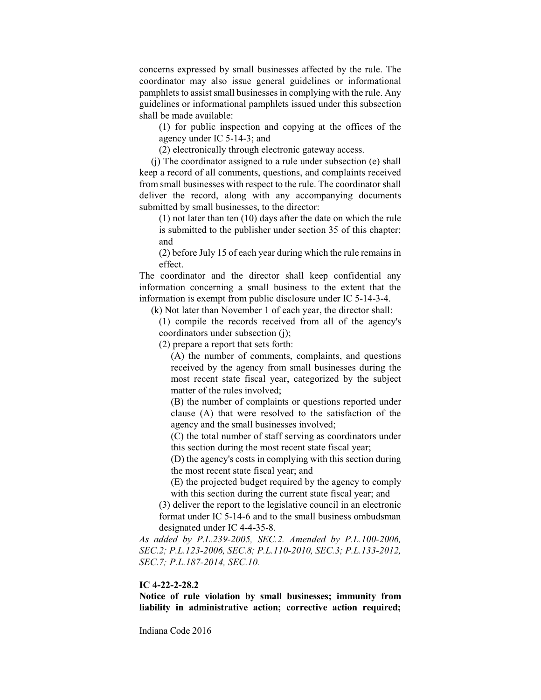concerns expressed by small businesses affected by the rule. The coordinator may also issue general guidelines or informational pamphlets to assist small businesses in complying with the rule. Any guidelines or informational pamphlets issued under this subsection shall be made available:

(1) for public inspection and copying at the offices of the agency under IC 5-14-3; and

(2) electronically through electronic gateway access.

(j) The coordinator assigned to a rule under subsection (e) shall keep a record of all comments, questions, and complaints received from small businesses with respect to the rule. The coordinator shall deliver the record, along with any accompanying documents submitted by small businesses, to the director:

(1) not later than ten (10) days after the date on which the rule is submitted to the publisher under section 35 of this chapter; and

(2) before July 15 of each year during which the rule remains in effect.

The coordinator and the director shall keep confidential any information concerning a small business to the extent that the information is exempt from public disclosure under IC 5-14-3-4.

(k) Not later than November 1 of each year, the director shall:

(1) compile the records received from all of the agency's coordinators under subsection (j);

(2) prepare a report that sets forth:

(A) the number of comments, complaints, and questions received by the agency from small businesses during the most recent state fiscal year, categorized by the subject matter of the rules involved;

(B) the number of complaints or questions reported under clause (A) that were resolved to the satisfaction of the agency and the small businesses involved;

(C) the total number of staff serving as coordinators under this section during the most recent state fiscal year;

(D) the agency's costs in complying with this section during the most recent state fiscal year; and

(E) the projected budget required by the agency to comply with this section during the current state fiscal year; and

(3) deliver the report to the legislative council in an electronic format under IC 5-14-6 and to the small business ombudsman designated under IC 4-4-35-8.

*As added by P.L.239-2005, SEC.2. Amended by P.L.100-2006, SEC.2; P.L.123-2006, SEC.8; P.L.110-2010, SEC.3; P.L.133-2012, SEC.7; P.L.187-2014, SEC.10.*

## **IC 4-22-2-28.2**

**Notice of rule violation by small businesses; immunity from liability in administrative action; corrective action required;**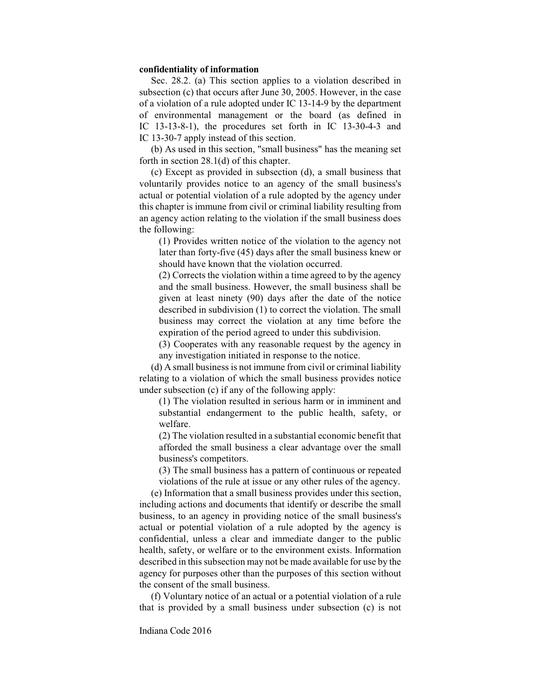## **confidentiality of information**

Sec. 28.2. (a) This section applies to a violation described in subsection (c) that occurs after June 30, 2005. However, in the case of a violation of a rule adopted under IC 13-14-9 by the department of environmental management or the board (as defined in IC 13-13-8-1), the procedures set forth in IC 13-30-4-3 and IC 13-30-7 apply instead of this section.

(b) As used in this section, "small business" has the meaning set forth in section 28.1(d) of this chapter.

(c) Except as provided in subsection (d), a small business that voluntarily provides notice to an agency of the small business's actual or potential violation of a rule adopted by the agency under this chapter is immune from civil or criminal liability resulting from an agency action relating to the violation if the small business does the following:

(1) Provides written notice of the violation to the agency not later than forty-five (45) days after the small business knew or should have known that the violation occurred.

(2) Corrects the violation within a time agreed to by the agency and the small business. However, the small business shall be given at least ninety (90) days after the date of the notice described in subdivision (1) to correct the violation. The small business may correct the violation at any time before the expiration of the period agreed to under this subdivision.

(3) Cooperates with any reasonable request by the agency in any investigation initiated in response to the notice.

(d) A small business is not immune from civil or criminal liability relating to a violation of which the small business provides notice under subsection (c) if any of the following apply:

(1) The violation resulted in serious harm or in imminent and substantial endangerment to the public health, safety, or welfare.

(2) The violation resulted in a substantial economic benefit that afforded the small business a clear advantage over the small business's competitors.

(3) The small business has a pattern of continuous or repeated violations of the rule at issue or any other rules of the agency.

(e) Information that a small business provides under this section, including actions and documents that identify or describe the small business, to an agency in providing notice of the small business's actual or potential violation of a rule adopted by the agency is confidential, unless a clear and immediate danger to the public health, safety, or welfare or to the environment exists. Information described in this subsection may not be made available for use by the agency for purposes other than the purposes of this section without the consent of the small business.

(f) Voluntary notice of an actual or a potential violation of a rule that is provided by a small business under subsection (c) is not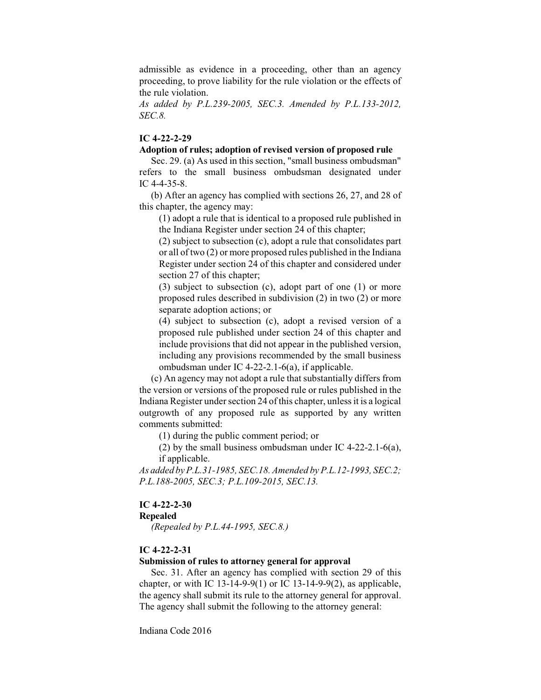admissible as evidence in a proceeding, other than an agency proceeding, to prove liability for the rule violation or the effects of the rule violation.

*As added by P.L.239-2005, SEC.3. Amended by P.L.133-2012, SEC.8.*

# **IC 4-22-2-29**

## **Adoption of rules; adoption of revised version of proposed rule**

Sec. 29. (a) As used in this section, "small business ombudsman" refers to the small business ombudsman designated under IC 4-4-35-8.

(b) After an agency has complied with sections 26, 27, and 28 of this chapter, the agency may:

(1) adopt a rule that is identical to a proposed rule published in the Indiana Register under section 24 of this chapter;

(2) subject to subsection (c), adopt a rule that consolidates part or all of two (2) or more proposed rules published in the Indiana Register under section 24 of this chapter and considered under section 27 of this chapter;

(3) subject to subsection (c), adopt part of one (1) or more proposed rules described in subdivision (2) in two (2) or more separate adoption actions; or

(4) subject to subsection (c), adopt a revised version of a proposed rule published under section 24 of this chapter and include provisions that did not appear in the published version, including any provisions recommended by the small business ombudsman under IC 4-22-2.1-6(a), if applicable.

(c) An agency may not adopt a rule that substantially differs from the version or versions of the proposed rule or rules published in the Indiana Register under section 24 of this chapter, unlessit is a logical outgrowth of any proposed rule as supported by any written comments submitted:

(1) during the public comment period; or

(2) by the small business ombudsman under IC 4-22-2.1-6(a), if applicable.

*As added by P.L.31-1985, SEC.18. Amended by P.L.12-1993, SEC.2; P.L.188-2005, SEC.3; P.L.109-2015, SEC.13.*

#### **IC 4-22-2-30**

## **Repealed**

*(Repealed by P.L.44-1995, SEC.8.)*

## **IC 4-22-2-31**

## **Submission of rules to attorney general for approval**

Sec. 31. After an agency has complied with section 29 of this chapter, or with IC 13-14-9-9(1) or IC 13-14-9-9(2), as applicable, the agency shall submit its rule to the attorney general for approval. The agency shall submit the following to the attorney general: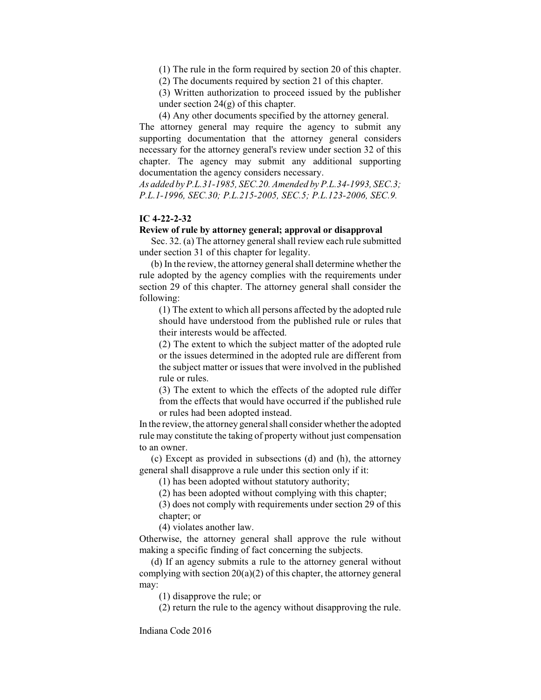(1) The rule in the form required by section 20 of this chapter.

(2) The documents required by section 21 of this chapter.

(3) Written authorization to proceed issued by the publisher under section  $24(g)$  of this chapter.

(4) Any other documents specified by the attorney general.

The attorney general may require the agency to submit any supporting documentation that the attorney general considers necessary for the attorney general's review under section 32 of this chapter. The agency may submit any additional supporting documentation the agency considers necessary.

*As added by P.L.31-1985, SEC.20. Amended by P.L.34-1993, SEC.3; P.L.1-1996, SEC.30; P.L.215-2005, SEC.5; P.L.123-2006, SEC.9.*

# **IC 4-22-2-32**

## **Review of rule by attorney general; approval or disapproval**

Sec. 32. (a) The attorney general shall review each rule submitted under section 31 of this chapter for legality.

(b) In the review, the attorney general shall determine whether the rule adopted by the agency complies with the requirements under section 29 of this chapter. The attorney general shall consider the following:

(1) The extent to which all persons affected by the adopted rule should have understood from the published rule or rules that their interests would be affected.

(2) The extent to which the subject matter of the adopted rule or the issues determined in the adopted rule are different from the subject matter or issues that were involved in the published rule or rules.

(3) The extent to which the effects of the adopted rule differ from the effects that would have occurred if the published rule or rules had been adopted instead.

In the review, the attorney general shall consider whether the adopted rule may constitute the taking of property without just compensation to an owner.

(c) Except as provided in subsections (d) and (h), the attorney general shall disapprove a rule under this section only if it:

(1) has been adopted without statutory authority;

(2) has been adopted without complying with this chapter;

(3) does not comply with requirements under section 29 of this chapter; or

(4) violates another law.

Otherwise, the attorney general shall approve the rule without making a specific finding of fact concerning the subjects.

(d) If an agency submits a rule to the attorney general without complying with section  $20(a)(2)$  of this chapter, the attorney general may:

(1) disapprove the rule; or

(2) return the rule to the agency without disapproving the rule.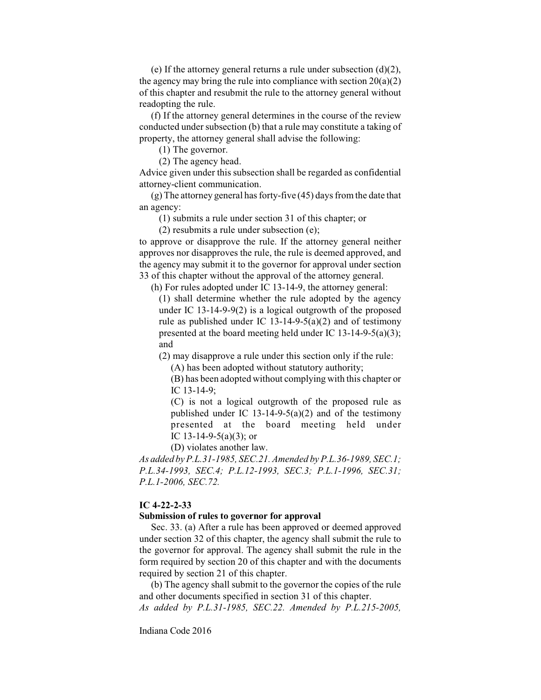(e) If the attorney general returns a rule under subsection  $(d)(2)$ , the agency may bring the rule into compliance with section  $20(a)(2)$ of this chapter and resubmit the rule to the attorney general without readopting the rule.

(f) If the attorney general determines in the course of the review conducted under subsection (b) that a rule may constitute a taking of property, the attorney general shall advise the following:

(1) The governor.

(2) The agency head.

Advice given under this subsection shall be regarded as confidential attorney-client communication.

 $(g)$  The attorney general has forty-five (45) days from the date that an agency:

(1) submits a rule under section 31 of this chapter; or

(2) resubmits a rule under subsection (e);

to approve or disapprove the rule. If the attorney general neither approves nor disapproves the rule, the rule is deemed approved, and the agency may submit it to the governor for approval under section 33 of this chapter without the approval of the attorney general.

(h) For rules adopted under IC 13-14-9, the attorney general:

(1) shall determine whether the rule adopted by the agency under IC 13-14-9-9(2) is a logical outgrowth of the proposed rule as published under IC 13-14-9-5(a)(2) and of testimony presented at the board meeting held under IC 13-14-9-5(a)(3); and

(2) may disapprove a rule under this section only if the rule:

(A) has been adopted without statutory authority;

(B) has been adopted without complying with this chapter or IC 13-14-9;

(C) is not a logical outgrowth of the proposed rule as published under IC  $13-14-9-5(a)(2)$  and of the testimony presented at the board meeting held under IC 13-14-9-5(a)(3); or

(D) violates another law.

*As added by P.L.31-1985, SEC.21. Amended by P.L.36-1989, SEC.1; P.L.34-1993, SEC.4; P.L.12-1993, SEC.3; P.L.1-1996, SEC.31; P.L.1-2006, SEC.72.*

## **IC 4-22-2-33**

#### **Submission of rules to governor for approval**

Sec. 33. (a) After a rule has been approved or deemed approved under section 32 of this chapter, the agency shall submit the rule to the governor for approval. The agency shall submit the rule in the form required by section 20 of this chapter and with the documents required by section 21 of this chapter.

(b) The agency shall submit to the governor the copies of the rule and other documents specified in section 31 of this chapter. *As added by P.L.31-1985, SEC.22. Amended by P.L.215-2005,*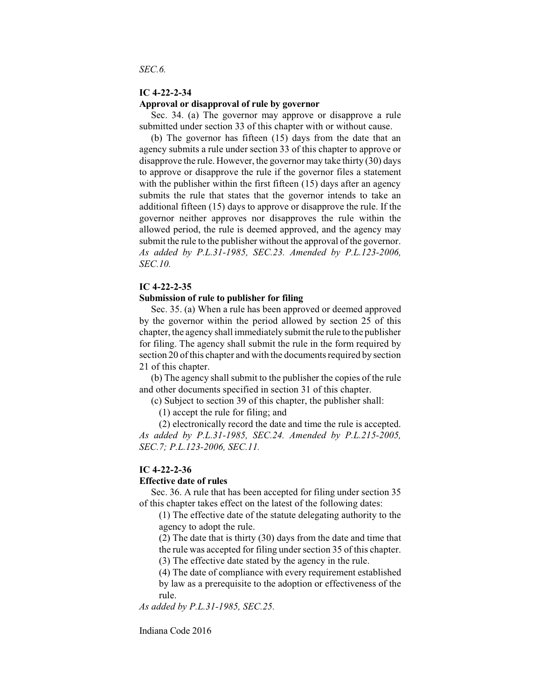## **IC 4-22-2-34 Approval or disapproval of rule by governor**

Sec. 34. (a) The governor may approve or disapprove a rule submitted under section 33 of this chapter with or without cause.

(b) The governor has fifteen (15) days from the date that an agency submits a rule under section 33 of this chapter to approve or disapprove the rule. However, the governor may take thirty (30) days to approve or disapprove the rule if the governor files a statement with the publisher within the first fifteen (15) days after an agency submits the rule that states that the governor intends to take an additional fifteen (15) days to approve or disapprove the rule. If the governor neither approves nor disapproves the rule within the allowed period, the rule is deemed approved, and the agency may submit the rule to the publisher without the approval of the governor. *As added by P.L.31-1985, SEC.23. Amended by P.L.123-2006, SEC.10.*

#### **IC 4-22-2-35**

#### **Submission of rule to publisher for filing**

Sec. 35. (a) When a rule has been approved or deemed approved by the governor within the period allowed by section 25 of this chapter, the agency shall immediately submit the rule to the publisher for filing. The agency shall submit the rule in the form required by section 20 of this chapter and with the documents required by section 21 of this chapter.

(b) The agency shall submit to the publisher the copies of the rule and other documents specified in section 31 of this chapter.

(c) Subject to section 39 of this chapter, the publisher shall:

(1) accept the rule for filing; and

(2) electronically record the date and time the rule is accepted. *As added by P.L.31-1985, SEC.24. Amended by P.L.215-2005, SEC.7; P.L.123-2006, SEC.11.*

#### **IC 4-22-2-36**

## **Effective date of rules**

Sec. 36. A rule that has been accepted for filing under section 35 of this chapter takes effect on the latest of the following dates:

(1) The effective date of the statute delegating authority to the agency to adopt the rule.

(2) The date that is thirty (30) days from the date and time that the rule was accepted for filing under section 35 of this chapter.

(3) The effective date stated by the agency in the rule.

(4) The date of compliance with every requirement established by law as a prerequisite to the adoption or effectiveness of the rule.

*As added by P.L.31-1985, SEC.25.*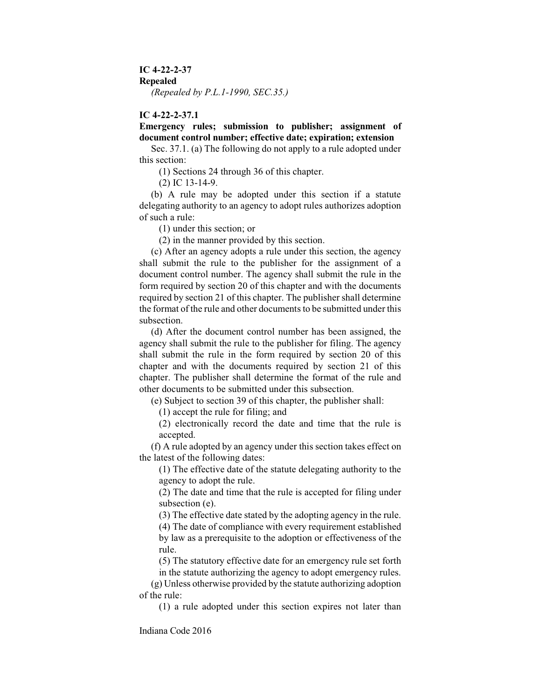## **IC 4-22-2-37**

## **Repealed**

*(Repealed by P.L.1-1990, SEC.35.)*

## **IC 4-22-2-37.1**

# **Emergency rules; submission to publisher; assignment of document control number; effective date; expiration; extension**

Sec. 37.1. (a) The following do not apply to a rule adopted under this section:

(1) Sections 24 through 36 of this chapter.

(2) IC 13-14-9.

(b) A rule may be adopted under this section if a statute delegating authority to an agency to adopt rules authorizes adoption of such a rule:

(1) under this section; or

(2) in the manner provided by this section.

(c) After an agency adopts a rule under this section, the agency shall submit the rule to the publisher for the assignment of a document control number. The agency shall submit the rule in the form required by section 20 of this chapter and with the documents required by section 21 of this chapter. The publisher shall determine the format of the rule and other documents to be submitted under this subsection.

(d) After the document control number has been assigned, the agency shall submit the rule to the publisher for filing. The agency shall submit the rule in the form required by section 20 of this chapter and with the documents required by section 21 of this chapter. The publisher shall determine the format of the rule and other documents to be submitted under this subsection.

(e) Subject to section 39 of this chapter, the publisher shall:

(1) accept the rule for filing; and

(2) electronically record the date and time that the rule is accepted.

(f) A rule adopted by an agency under this section takes effect on the latest of the following dates:

(1) The effective date of the statute delegating authority to the agency to adopt the rule.

(2) The date and time that the rule is accepted for filing under subsection (e).

(3) The effective date stated by the adopting agency in the rule.

(4) The date of compliance with every requirement established by law as a prerequisite to the adoption or effectiveness of the rule.

(5) The statutory effective date for an emergency rule set forth in the statute authorizing the agency to adopt emergency rules.

(g) Unless otherwise provided by the statute authorizing adoption of the rule:

(1) a rule adopted under this section expires not later than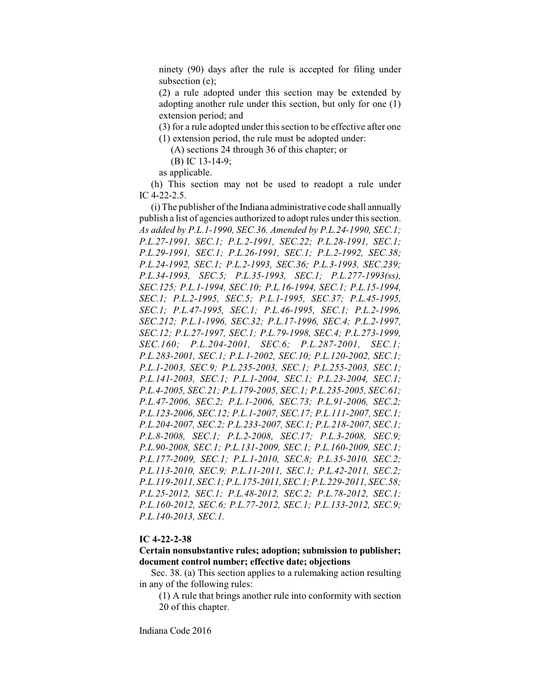ninety (90) days after the rule is accepted for filing under subsection (e);

(2) a rule adopted under this section may be extended by adopting another rule under this section, but only for one (1) extension period; and

(3) for a rule adopted under this section to be effective after one (1) extension period, the rule must be adopted under:

(A) sections 24 through 36 of this chapter; or

(B) IC 13-14-9;

as applicable.

(h) This section may not be used to readopt a rule under IC 4-22-2.5.

(i) The publisher of the Indiana administrative code shall annually publish a list of agencies authorized to adopt rules under this section. *As added by P.L.1-1990, SEC.36. Amended by P.L.24-1990, SEC.1; P.L.27-1991, SEC.1; P.L.2-1991, SEC.22; P.L.28-1991, SEC.1; P.L.29-1991, SEC.1; P.L.26-1991, SEC.1; P.L.2-1992, SEC.38; P.L.24-1992, SEC.1; P.L.2-1993, SEC.36; P.L.3-1993, SEC.239; P.L.34-1993, SEC.5; P.L.35-1993, SEC.1; P.L.277-1993(ss), SEC.125; P.L.1-1994, SEC.10; P.L.16-1994, SEC.1; P.L.15-1994, SEC.1; P.L.2-1995, SEC.5; P.L.1-1995, SEC.37; P.L.45-1995, SEC.1; P.L.47-1995, SEC.1; P.L.46-1995, SEC.1; P.L.2-1996, SEC.212; P.L.1-1996, SEC.32; P.L.17-1996, SEC.4; P.L.2-1997, SEC.12; P.L.27-1997, SEC.1; P.L.79-1998, SEC.4; P.L.273-1999, SEC.160; P.L.204-2001, SEC.6; P.L.287-2001, SEC.1; P.L.283-2001, SEC.1; P.L.1-2002, SEC.10; P.L.120-2002, SEC.1; P.L.1-2003, SEC.9; P.L.235-2003, SEC.1; P.L.255-2003, SEC.1; P.L.141-2003, SEC.1; P.L.1-2004, SEC.1; P.L.23-2004, SEC.1; P.L.4-2005, SEC.21; P.L.179-2005, SEC.1; P.L.235-2005, SEC.61; P.L.47-2006, SEC.2; P.L.1-2006, SEC.73; P.L.91-2006, SEC.2; P.L.123-2006, SEC.12; P.L.1-2007, SEC.17; P.L.111-2007, SEC.1; P.L.204-2007, SEC.2; P.L.233-2007, SEC.1; P.L.218-2007, SEC.1; P.L.8-2008, SEC.1; P.L.2-2008, SEC.17; P.L.3-2008, SEC.9; P.L.90-2008, SEC.1; P.L.131-2009, SEC.1; P.L.160-2009, SEC.1; P.L.177-2009, SEC.1; P.L.1-2010, SEC.8; P.L.35-2010, SEC.2; P.L.113-2010, SEC.9; P.L.11-2011, SEC.1; P.L.42-2011, SEC.2; P.L.119-2011, SEC.1; P.L.175-2011,SEC.1;P.L.229-2011, SEC.58; P.L.25-2012, SEC.1; P.L.48-2012, SEC.2; P.L.78-2012, SEC.1; P.L.160-2012, SEC.6; P.L.77-2012, SEC.1; P.L.133-2012, SEC.9; P.L.140-2013, SEC.1.*

## **IC 4-22-2-38**

**Certain nonsubstantive rules; adoption; submission to publisher; document control number; effective date; objections**

Sec. 38. (a) This section applies to a rulemaking action resulting in any of the following rules:

(1) A rule that brings another rule into conformity with section 20 of this chapter.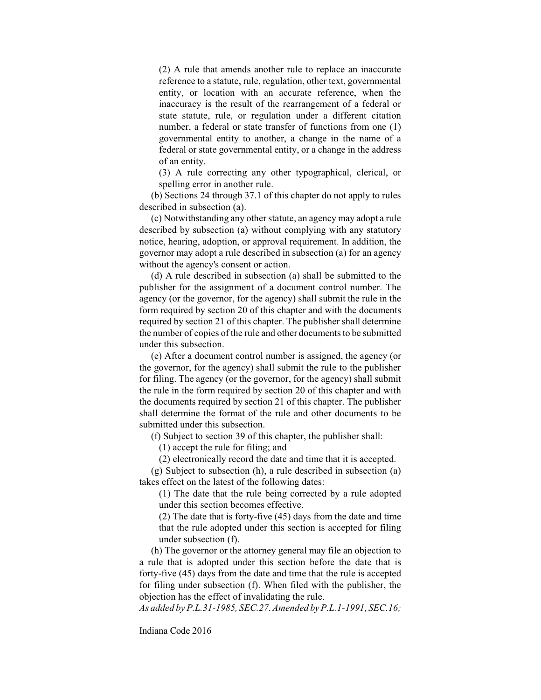(2) A rule that amends another rule to replace an inaccurate reference to a statute, rule, regulation, other text, governmental entity, or location with an accurate reference, when the inaccuracy is the result of the rearrangement of a federal or state statute, rule, or regulation under a different citation number, a federal or state transfer of functions from one (1) governmental entity to another, a change in the name of a federal or state governmental entity, or a change in the address of an entity.

(3) A rule correcting any other typographical, clerical, or spelling error in another rule.

(b) Sections 24 through 37.1 of this chapter do not apply to rules described in subsection (a).

(c) Notwithstanding any other statute, an agency may adopt a rule described by subsection (a) without complying with any statutory notice, hearing, adoption, or approval requirement. In addition, the governor may adopt a rule described in subsection (a) for an agency without the agency's consent or action.

(d) A rule described in subsection (a) shall be submitted to the publisher for the assignment of a document control number. The agency (or the governor, for the agency) shall submit the rule in the form required by section 20 of this chapter and with the documents required by section 21 of this chapter. The publisher shall determine the number of copies of the rule and other documents to be submitted under this subsection.

(e) After a document control number is assigned, the agency (or the governor, for the agency) shall submit the rule to the publisher for filing. The agency (or the governor, for the agency) shall submit the rule in the form required by section 20 of this chapter and with the documents required by section 21 of this chapter. The publisher shall determine the format of the rule and other documents to be submitted under this subsection.

(f) Subject to section 39 of this chapter, the publisher shall:

(1) accept the rule for filing; and

(2) electronically record the date and time that it is accepted.

(g) Subject to subsection (h), a rule described in subsection (a) takes effect on the latest of the following dates:

(1) The date that the rule being corrected by a rule adopted under this section becomes effective.

(2) The date that is forty-five (45) days from the date and time that the rule adopted under this section is accepted for filing under subsection (f).

(h) The governor or the attorney general may file an objection to a rule that is adopted under this section before the date that is forty-five (45) days from the date and time that the rule is accepted for filing under subsection (f). When filed with the publisher, the objection has the effect of invalidating the rule.

*As added by P.L.31-1985, SEC.27. Amended by P.L.1-1991, SEC.16;*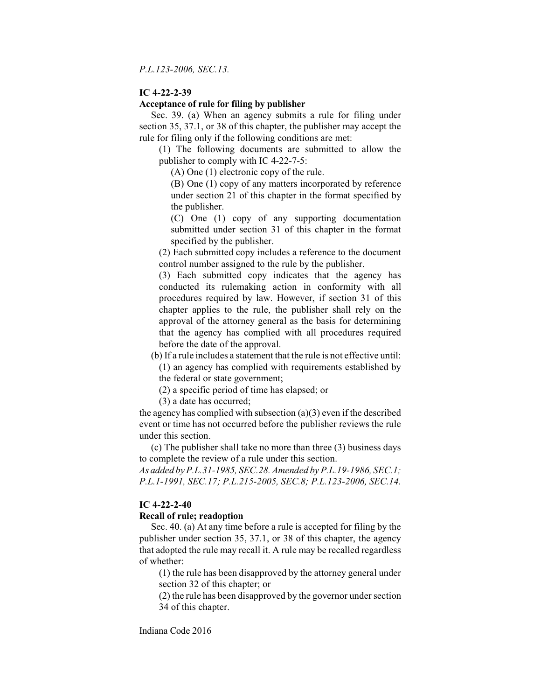*P.L.123-2006, SEC.13.*

#### **IC 4-22-2-39**

## **Acceptance of rule for filing by publisher**

Sec. 39. (a) When an agency submits a rule for filing under section 35, 37.1, or 38 of this chapter, the publisher may accept the rule for filing only if the following conditions are met:

(1) The following documents are submitted to allow the publisher to comply with IC 4-22-7-5:

(A) One (1) electronic copy of the rule.

(B) One (1) copy of any matters incorporated by reference under section 21 of this chapter in the format specified by the publisher.

(C) One (1) copy of any supporting documentation submitted under section 31 of this chapter in the format specified by the publisher.

(2) Each submitted copy includes a reference to the document control number assigned to the rule by the publisher.

(3) Each submitted copy indicates that the agency has conducted its rulemaking action in conformity with all procedures required by law. However, if section 31 of this chapter applies to the rule, the publisher shall rely on the approval of the attorney general as the basis for determining that the agency has complied with all procedures required before the date of the approval.

(b) If a rule includes a statement that the rule is not effective until:

(1) an agency has complied with requirements established by the federal or state government;

(2) a specific period of time has elapsed; or

(3) a date has occurred;

the agency has complied with subsection  $(a)(3)$  even if the described event or time has not occurred before the publisher reviews the rule under this section.

(c) The publisher shall take no more than three (3) business days to complete the review of a rule under this section.

*As added by P.L.31-1985, SEC.28. Amended by P.L.19-1986, SEC.1; P.L.1-1991, SEC.17; P.L.215-2005, SEC.8; P.L.123-2006, SEC.14.*

#### **IC 4-22-2-40**

#### **Recall of rule; readoption**

Sec. 40. (a) At any time before a rule is accepted for filing by the publisher under section 35, 37.1, or 38 of this chapter, the agency that adopted the rule may recall it. A rule may be recalled regardless of whether:

(1) the rule has been disapproved by the attorney general under section 32 of this chapter; or

(2) the rule has been disapproved by the governor under section 34 of this chapter.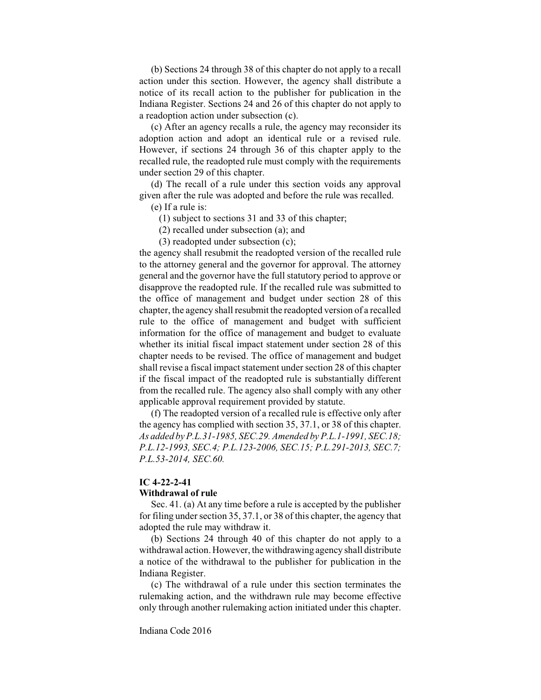(b) Sections 24 through 38 of this chapter do not apply to a recall action under this section. However, the agency shall distribute a notice of its recall action to the publisher for publication in the Indiana Register. Sections 24 and 26 of this chapter do not apply to a readoption action under subsection (c).

(c) After an agency recalls a rule, the agency may reconsider its adoption action and adopt an identical rule or a revised rule. However, if sections 24 through 36 of this chapter apply to the recalled rule, the readopted rule must comply with the requirements under section 29 of this chapter.

(d) The recall of a rule under this section voids any approval given after the rule was adopted and before the rule was recalled.

(e) If a rule is:

(1) subject to sections 31 and 33 of this chapter;

(2) recalled under subsection (a); and

(3) readopted under subsection (c);

the agency shall resubmit the readopted version of the recalled rule to the attorney general and the governor for approval. The attorney general and the governor have the full statutory period to approve or disapprove the readopted rule. If the recalled rule was submitted to the office of management and budget under section 28 of this chapter, the agency shall resubmit the readopted version of a recalled rule to the office of management and budget with sufficient information for the office of management and budget to evaluate whether its initial fiscal impact statement under section 28 of this chapter needs to be revised. The office of management and budget shall revise a fiscal impact statement under section 28 of this chapter if the fiscal impact of the readopted rule is substantially different from the recalled rule. The agency also shall comply with any other applicable approval requirement provided by statute.

(f) The readopted version of a recalled rule is effective only after the agency has complied with section 35, 37.1, or 38 of this chapter. *As added by P.L.31-1985, SEC.29. Amended by P.L.1-1991, SEC.18; P.L.12-1993, SEC.4; P.L.123-2006, SEC.15; P.L.291-2013, SEC.7; P.L.53-2014, SEC.60.*

# **IC 4-22-2-41**

#### **Withdrawal of rule**

Sec. 41. (a) At any time before a rule is accepted by the publisher for filing under section 35, 37.1, or 38 of this chapter, the agency that adopted the rule may withdraw it.

(b) Sections 24 through 40 of this chapter do not apply to a withdrawal action. However, the withdrawing agency shall distribute a notice of the withdrawal to the publisher for publication in the Indiana Register.

(c) The withdrawal of a rule under this section terminates the rulemaking action, and the withdrawn rule may become effective only through another rulemaking action initiated under this chapter.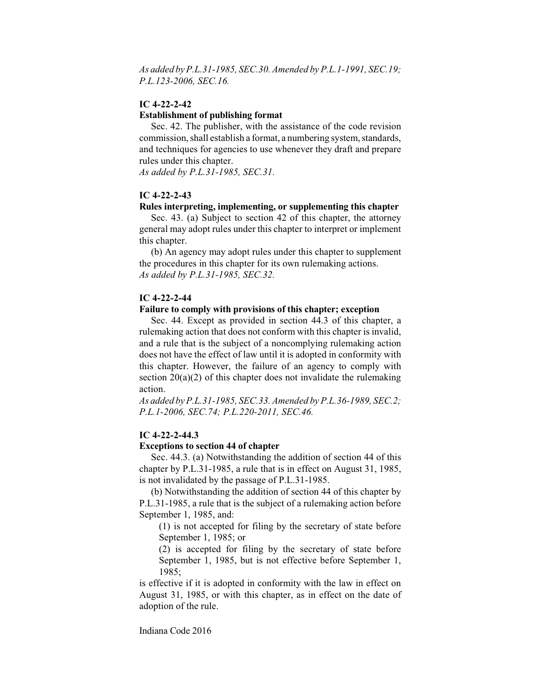*As added by P.L.31-1985, SEC.30. Amended by P.L.1-1991, SEC.19; P.L.123-2006, SEC.16.*

## **IC 4-22-2-42**

### **Establishment of publishing format**

Sec. 42. The publisher, with the assistance of the code revision commission, shall establish a format, a numbering system, standards, and techniques for agencies to use whenever they draft and prepare rules under this chapter.

*As added by P.L.31-1985, SEC.31.*

## **IC 4-22-2-43**

#### **Rules interpreting, implementing, or supplementing this chapter**

Sec. 43. (a) Subject to section 42 of this chapter, the attorney general may adopt rules under this chapter to interpret or implement this chapter.

(b) An agency may adopt rules under this chapter to supplement the procedures in this chapter for its own rulemaking actions. *As added by P.L.31-1985, SEC.32.*

## **IC 4-22-2-44**

### **Failure to comply with provisions of this chapter; exception**

Sec. 44. Except as provided in section 44.3 of this chapter, a rulemaking action that does not conform with this chapter is invalid, and a rule that is the subject of a noncomplying rulemaking action does not have the effect of law until it is adopted in conformity with this chapter. However, the failure of an agency to comply with section  $20(a)(2)$  of this chapter does not invalidate the rulemaking action.

*As added by P.L.31-1985, SEC.33. Amended by P.L.36-1989, SEC.2; P.L.1-2006, SEC.74; P.L.220-2011, SEC.46.*

## **IC 4-22-2-44.3**

#### **Exceptions to section 44 of chapter**

Sec. 44.3. (a) Notwithstanding the addition of section 44 of this chapter by P.L.31-1985, a rule that is in effect on August 31, 1985, is not invalidated by the passage of P.L.31-1985.

(b) Notwithstanding the addition of section 44 of this chapter by P.L.31-1985, a rule that is the subject of a rulemaking action before September 1, 1985, and:

(1) is not accepted for filing by the secretary of state before September 1, 1985; or

(2) is accepted for filing by the secretary of state before September 1, 1985, but is not effective before September 1, 1985;

is effective if it is adopted in conformity with the law in effect on August 31, 1985, or with this chapter, as in effect on the date of adoption of the rule.